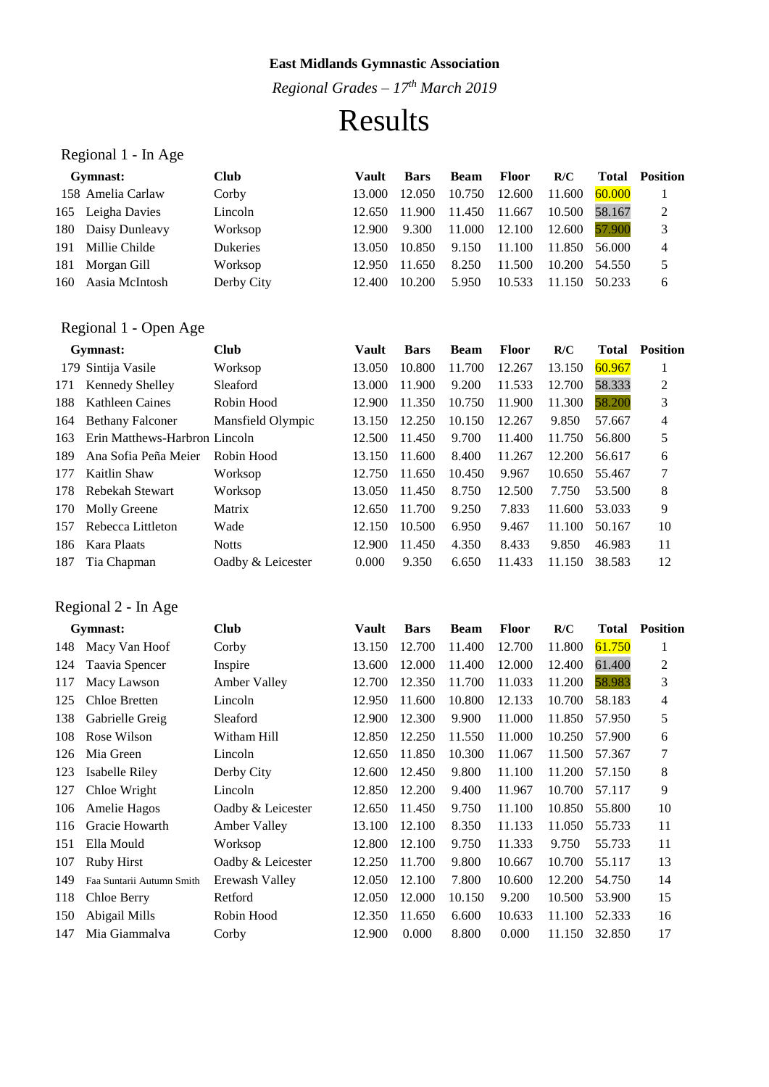*Regional Grades – 17th March 2019*

# Results

## Regional 1 - In Age

| 2                                                        |
|----------------------------------------------------------|
| 3                                                        |
| 4                                                        |
| 5                                                        |
| 6                                                        |
| 60.000<br>58.167<br>57.900<br>56.000<br>54.550<br>50.233 |

### Regional 1 - Open Age

|     | Gymnast:                      | <b>Club</b>       | Vault  | <b>Bars</b> | <b>Beam</b> | <b>Floor</b> | R/C    | Total  | <b>Position</b> |
|-----|-------------------------------|-------------------|--------|-------------|-------------|--------------|--------|--------|-----------------|
|     | 179 Sintija Vasile            | Worksop           | 13.050 | 10.800      | 11.700      | 12.267       | 13.150 | 60.967 |                 |
| 171 | <b>Kennedy Shelley</b>        | Sleaford          | 13.000 | 11.900      | 9.200       | 11.533       | 12.700 | 58.333 | 2               |
| 188 | <b>Kathleen Caines</b>        | Robin Hood        | 12.900 | 11.350      | 10.750      | 11.900       | 11.300 | 58.200 | 3               |
| 164 | <b>Bethany Falconer</b>       | Mansfield Olympic | 13.150 | 12.250      | 10.150      | 12.267       | 9.850  | 57.667 | 4               |
| 163 | Erin Matthews-Harbron Lincoln |                   | 12.500 | 11.450      | 9.700       | 11.400       | 11.750 | 56.800 | 5               |
| 189 | Ana Sofia Peña Meier          | Robin Hood        | 13.150 | 11.600      | 8.400       | 11.267       | 12.200 | 56.617 | 6               |
| 177 | Kaitlin Shaw                  | Worksop           | 12.750 | 11.650      | 10.450      | 9.967        | 10.650 | 55.467 | 7               |
| 178 | Rebekah Stewart               | Worksop           | 13.050 | 11.450      | 8.750       | 12.500       | 7.750  | 53.500 | 8               |
| 170 | Molly Greene                  | Matrix            | 12.650 | 11.700      | 9.250       | 7.833        | 11.600 | 53.033 | 9               |
| 157 | Rebecca Littleton             | Wade              | 12.150 | 10.500      | 6.950       | 9.467        | 11.100 | 50.167 | 10              |
| 186 | Kara Plaats                   | <b>Notts</b>      | 12.900 | 11.450      | 4.350       | 8.433        | 9.850  | 46.983 | 11              |
| 187 | Tia Chapman                   | Oadby & Leicester | 0.000  | 9.350       | 6.650       | 11.433       | 11.150 | 38.583 | 12              |
|     |                               |                   |        |             |             |              |        |        |                 |

## Regional 2 - In Age

|     | Gymnast:                  | <b>Club</b>       | Vault  | <b>Bars</b> | <b>Beam</b> | <b>Floor</b> | R/C    | <b>Total</b> | <b>Position</b> |
|-----|---------------------------|-------------------|--------|-------------|-------------|--------------|--------|--------------|-----------------|
| 148 | Macy Van Hoof             | Corby             | 13.150 | 12.700      | 11.400      | 12.700       | 11.800 | 61.750       | 1               |
| 124 | Taavia Spencer            | Inspire           | 13.600 | 12.000      | 11.400      | 12.000       | 12.400 | 61.400       | 2               |
| 117 | Macy Lawson               | Amber Valley      | 12.700 | 12.350      | 11.700      | 11.033       | 11.200 | 58.983       | 3               |
| 125 | Chloe Bretten             | Lincoln           | 12.950 | 11.600      | 10.800      | 12.133       | 10.700 | 58.183       | 4               |
| 138 | Gabrielle Greig           | Sleaford          | 12.900 | 12.300      | 9.900       | 11.000       | 11.850 | 57.950       | 5               |
| 108 | Rose Wilson               | Witham Hill       | 12.850 | 12.250      | 11.550      | 11.000       | 10.250 | 57.900       | 6               |
| 126 | Mia Green                 | Lincoln           | 12.650 | 11.850      | 10.300      | 11.067       | 11.500 | 57.367       | 7               |
| 123 | Isabelle Riley            | Derby City        | 12.600 | 12.450      | 9.800       | 11.100       | 11.200 | 57.150       | 8               |
| 127 | Chloe Wright              | Lincoln           | 12.850 | 12.200      | 9.400       | 11.967       | 10.700 | 57.117       | 9               |
| 106 | Amelie Hagos              | Oadby & Leicester | 12.650 | 11.450      | 9.750       | 11.100       | 10.850 | 55.800       | 10              |
| 116 | Gracie Howarth            | Amber Valley      | 13.100 | 12.100      | 8.350       | 11.133       | 11.050 | 55.733       | 11              |
| 151 | Ella Mould                | Worksop           | 12.800 | 12.100      | 9.750       | 11.333       | 9.750  | 55.733       | 11              |
| 107 | <b>Ruby Hirst</b>         | Oadby & Leicester | 12.250 | 11.700      | 9.800       | 10.667       | 10.700 | 55.117       | 13              |
| 149 | Faa Suntarii Autumn Smith | Erewash Valley    | 12.050 | 12.100      | 7.800       | 10.600       | 12.200 | 54.750       | 14              |
| 118 | Chloe Berry               | Retford           | 12.050 | 12.000      | 10.150      | 9.200        | 10.500 | 53.900       | 15              |
| 150 | Abigail Mills             | Robin Hood        | 12.350 | 11.650      | 6.600       | 10.633       | 11.100 | 52.333       | 16              |
| 147 | Mia Giammalva             | Corby             | 12.900 | 0.000       | 8.800       | 0.000        | 11.150 | 32.850       | 17              |
|     |                           |                   |        |             |             |              |        |              |                 |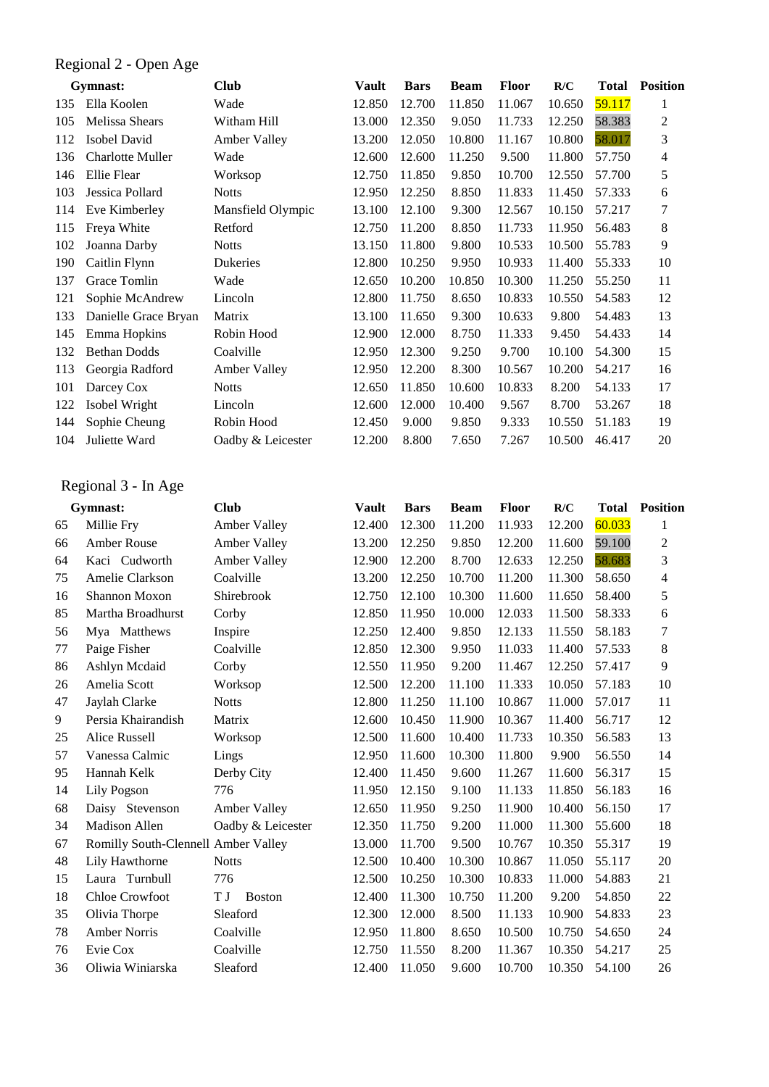#### Regional 2 - Open Age

|     | Gymnast:                | <b>Club</b>       | <b>Vault</b> | <b>Bars</b> | <b>Beam</b> | <b>Floor</b> | R/C    | <b>Total</b> | <b>Position</b> |
|-----|-------------------------|-------------------|--------------|-------------|-------------|--------------|--------|--------------|-----------------|
| 135 | Ella Koolen             | Wade              | 12.850       | 12.700      | 11.850      | 11.067       | 10.650 | 59.117       | 1               |
| 105 | <b>Melissa Shears</b>   | Witham Hill       | 13.000       | 12.350      | 9.050       | 11.733       | 12.250 | 58.383       | 2               |
| 112 | Isobel David            | Amber Valley      | 13.200       | 12.050      | 10.800      | 11.167       | 10.800 | 58.017       | 3               |
| 136 | <b>Charlotte Muller</b> | Wade              | 12.600       | 12.600      | 11.250      | 9.500        | 11.800 | 57.750       | 4               |
| 146 | Ellie Flear             | Worksop           | 12.750       | 11.850      | 9.850       | 10.700       | 12.550 | 57.700       | 5               |
| 103 | Jessica Pollard         | <b>Notts</b>      | 12.950       | 12.250      | 8.850       | 11.833       | 11.450 | 57.333       | 6               |
| 114 | Eve Kimberley           | Mansfield Olympic | 13.100       | 12.100      | 9.300       | 12.567       | 10.150 | 57.217       | 7               |
| 115 | Freya White             | Retford           | 12.750       | 11.200      | 8.850       | 11.733       | 11.950 | 56.483       | 8               |
| 102 | Joanna Darby            | <b>Notts</b>      | 13.150       | 11.800      | 9.800       | 10.533       | 10.500 | 55.783       | 9               |
| 190 | Caitlin Flynn           | Dukeries          | 12.800       | 10.250      | 9.950       | 10.933       | 11.400 | 55.333       | 10              |
| 137 | Grace Tomlin            | Wade              | 12.650       | 10.200      | 10.850      | 10.300       | 11.250 | 55.250       | 11              |
| 121 | Sophie McAndrew         | Lincoln           | 12.800       | 11.750      | 8.650       | 10.833       | 10.550 | 54.583       | 12              |
| 133 | Danielle Grace Bryan    | Matrix            | 13.100       | 11.650      | 9.300       | 10.633       | 9.800  | 54.483       | 13              |
| 145 | Emma Hopkins            | Robin Hood        | 12.900       | 12.000      | 8.750       | 11.333       | 9.450  | 54.433       | 14              |
| 132 | <b>Bethan Dodds</b>     | Coalville         | 12.950       | 12.300      | 9.250       | 9.700        | 10.100 | 54.300       | 15              |
| 113 | Georgia Radford         | Amber Valley      | 12.950       | 12.200      | 8.300       | 10.567       | 10.200 | 54.217       | 16              |
| 101 | Darcey Cox              | <b>Notts</b>      | 12.650       | 11.850      | 10.600      | 10.833       | 8.200  | 54.133       | 17              |
| 122 | Isobel Wright           | Lincoln           | 12.600       | 12.000      | 10.400      | 9.567        | 8.700  | 53.267       | 18              |
| 144 | Sophie Cheung           | Robin Hood        | 12.450       | 9.000       | 9.850       | 9.333        | 10.550 | 51.183       | 19              |
| 104 | Juliette Ward           | Oadby & Leicester | 12.200       | 8.800       | 7.650       | 7.267        | 10.500 | 46.417       | 20              |

### Regional 3 - In Age

|    | Gymnast:                            | <b>Club</b>         | <b>Vault</b> | <b>Bars</b> | <b>Beam</b> | <b>Floor</b> | R/C    | <b>Total</b> | <b>Position</b>          |
|----|-------------------------------------|---------------------|--------------|-------------|-------------|--------------|--------|--------------|--------------------------|
| 65 | Millie Fry                          | Amber Valley        | 12.400       | 12.300      | 11.200      | 11.933       | 12.200 | 60.033       | 1                        |
| 66 | <b>Amber Rouse</b>                  | Amber Valley        | 13.200       | 12.250      | 9.850       | 12.200       | 11.600 | 59.100       | $\overline{c}$           |
| 64 | Kaci Cudworth                       | Amber Valley        | 12.900       | 12.200      | 8.700       | 12.633       | 12.250 | 58.683       | 3                        |
| 75 | Amelie Clarkson                     | Coalville           | 13.200       | 12.250      | 10.700      | 11.200       | 11.300 | 58.650       | $\overline{\mathcal{L}}$ |
| 16 | Shannon Moxon                       | Shirebrook          | 12.750       | 12.100      | 10.300      | 11.600       | 11.650 | 58.400       | 5                        |
| 85 | Martha Broadhurst                   | Corby               | 12.850       | 11.950      | 10.000      | 12.033       | 11.500 | 58.333       | 6                        |
| 56 | Mya Matthews                        | Inspire             | 12.250       | 12.400      | 9.850       | 12.133       | 11.550 | 58.183       | 7                        |
| 77 | Paige Fisher                        | Coalville           | 12.850       | 12.300      | 9.950       | 11.033       | 11.400 | 57.533       | 8                        |
| 86 | Ashlyn Mcdaid                       | Corby               | 12.550       | 11.950      | 9.200       | 11.467       | 12.250 | 57.417       | 9                        |
| 26 | Amelia Scott                        | Worksop             | 12.500       | 12.200      | 11.100      | 11.333       | 10.050 | 57.183       | 10                       |
| 47 | Jaylah Clarke                       | <b>Notts</b>        | 12.800       | 11.250      | 11.100      | 10.867       | 11.000 | 57.017       | 11                       |
| 9  | Persia Khairandish                  | Matrix              | 12.600       | 10.450      | 11.900      | 10.367       | 11.400 | 56.717       | 12                       |
| 25 | Alice Russell                       | Worksop             | 12.500       | 11.600      | 10.400      | 11.733       | 10.350 | 56.583       | 13                       |
| 57 | Vanessa Calmic                      | Lings               | 12.950       | 11.600      | 10.300      | 11.800       | 9.900  | 56.550       | 14                       |
| 95 | Hannah Kelk                         | Derby City          | 12.400       | 11.450      | 9.600       | 11.267       | 11.600 | 56.317       | 15                       |
| 14 | Lily Pogson                         | 776                 | 11.950       | 12.150      | 9.100       | 11.133       | 11.850 | 56.183       | 16                       |
| 68 | Daisy Stevenson                     | Amber Valley        | 12.650       | 11.950      | 9.250       | 11.900       | 10.400 | 56.150       | 17                       |
| 34 | <b>Madison Allen</b>                | Oadby & Leicester   | 12.350       | 11.750      | 9.200       | 11.000       | 11.300 | 55.600       | 18                       |
| 67 | Romilly South-Clennell Amber Valley |                     | 13.000       | 11.700      | 9.500       | 10.767       | 10.350 | 55.317       | 19                       |
| 48 | Lily Hawthorne                      | <b>Notts</b>        | 12.500       | 10.400      | 10.300      | 10.867       | 11.050 | 55.117       | 20                       |
| 15 | Laura Turnbull                      | 776                 | 12.500       | 10.250      | 10.300      | 10.833       | 11.000 | 54.883       | 21                       |
| 18 | Chloe Crowfoot                      | ТJ<br><b>Boston</b> | 12.400       | 11.300      | 10.750      | 11.200       | 9.200  | 54.850       | 22                       |
| 35 | Olivia Thorpe                       | Sleaford            | 12.300       | 12.000      | 8.500       | 11.133       | 10.900 | 54.833       | 23                       |
| 78 | <b>Amber Norris</b>                 | Coalville           | 12.950       | 11.800      | 8.650       | 10.500       | 10.750 | 54.650       | 24                       |
| 76 | Evie Cox                            | Coalville           | 12.750       | 11.550      | 8.200       | 11.367       | 10.350 | 54.217       | 25                       |
| 36 | Oliwia Winiarska                    | Sleaford            | 12.400       | 11.050      | 9.600       | 10.700       | 10.350 | 54.100       | 26                       |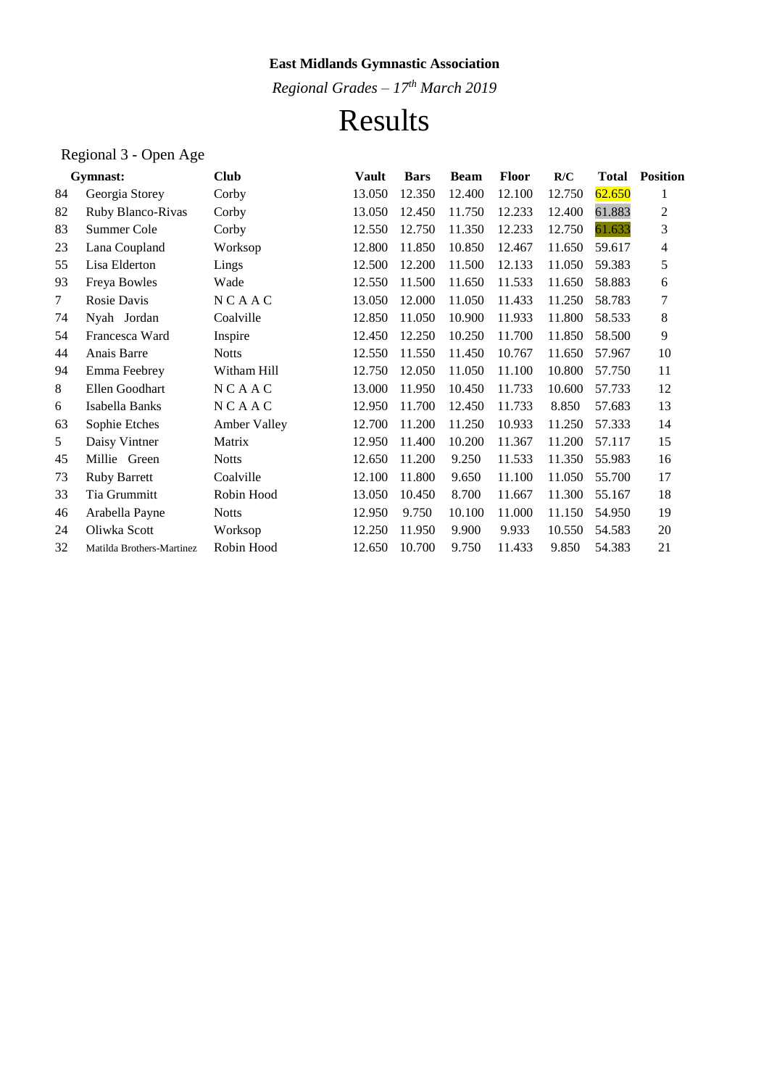*Regional Grades – 17th March 2019*

## Results

## Regional 3 - Open Age

|    | Gymnast:                  | <b>Club</b>  | Vault  | <b>Bars</b> | <b>Beam</b> | <b>Floor</b> | R/C    | <b>Total</b> | <b>Position</b> |
|----|---------------------------|--------------|--------|-------------|-------------|--------------|--------|--------------|-----------------|
| 84 | Georgia Storey            | Corby        | 13.050 | 12.350      | 12.400      | 12.100       | 12.750 | 62.650       | 1               |
| 82 | Ruby Blanco-Rivas         | Corby        | 13.050 | 12.450      | 11.750      | 12.233       | 12.400 | 61.883       | 2               |
| 83 | Summer Cole               | Corby        | 12.550 | 12.750      | 11.350      | 12.233       | 12.750 | 61.633       | 3               |
| 23 | Lana Coupland             | Worksop      | 12.800 | 11.850      | 10.850      | 12.467       | 11.650 | 59.617       | 4               |
| 55 | Lisa Elderton             | Lings        | 12.500 | 12.200      | 11.500      | 12.133       | 11.050 | 59.383       | 5               |
| 93 | Freya Bowles              | Wade         | 12.550 | 11.500      | 11.650      | 11.533       | 11.650 | 58.883       | 6               |
| 7  | Rosie Davis               | NCAAC        | 13.050 | 12.000      | 11.050      | 11.433       | 11.250 | 58.783       | 7               |
| 74 | Nyah Jordan               | Coalville    | 12.850 | 11.050      | 10.900      | 11.933       | 11.800 | 58.533       | 8               |
| 54 | Francesca Ward            | Inspire      | 12.450 | 12.250      | 10.250      | 11.700       | 11.850 | 58.500       | 9               |
| 44 | Anais Barre               | <b>Notts</b> | 12.550 | 11.550      | 11.450      | 10.767       | 11.650 | 57.967       | 10              |
| 94 | Emma Feebrey              | Witham Hill  | 12.750 | 12.050      | 11.050      | 11.100       | 10.800 | 57.750       | 11              |
| 8  | Ellen Goodhart            | NCAAC        | 13.000 | 11.950      | 10.450      | 11.733       | 10.600 | 57.733       | 12              |
| 6  | Isabella Banks            | NCAAC        | 12.950 | 11.700      | 12.450      | 11.733       | 8.850  | 57.683       | 13              |
| 63 | Sophie Etches             | Amber Valley | 12.700 | 11.200      | 11.250      | 10.933       | 11.250 | 57.333       | 14              |
| 5  | Daisy Vintner             | Matrix       | 12.950 | 11.400      | 10.200      | 11.367       | 11.200 | 57.117       | 15              |
| 45 | Millie Green              | <b>Notts</b> | 12.650 | 11.200      | 9.250       | 11.533       | 11.350 | 55.983       | 16              |
| 73 | <b>Ruby Barrett</b>       | Coalville    | 12.100 | 11.800      | 9.650       | 11.100       | 11.050 | 55.700       | 17              |
| 33 | Tia Grummitt              | Robin Hood   | 13.050 | 10.450      | 8.700       | 11.667       | 11.300 | 55.167       | 18              |
| 46 | Arabella Payne            | <b>Notts</b> | 12.950 | 9.750       | 10.100      | 11.000       | 11.150 | 54.950       | 19              |
| 24 | Oliwka Scott              | Worksop      | 12.250 | 11.950      | 9.900       | 9.933        | 10.550 | 54.583       | 20              |
| 32 | Matilda Brothers-Martinez | Robin Hood   | 12.650 | 10.700      | 9.750       | 11.433       | 9.850  | 54.383       | 21              |
|    |                           |              |        |             |             |              |        |              |                 |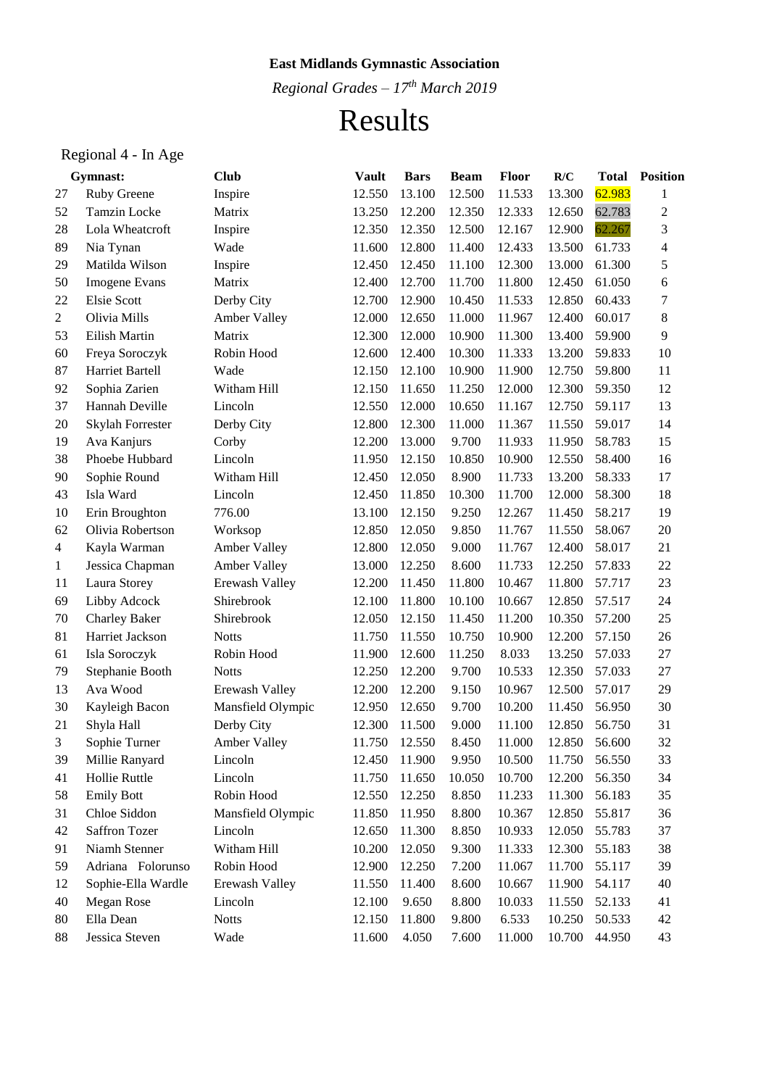*Regional Grades – 17th March 2019*

# Results

## Regional 4 - In Age

|                | Gymnast:             | <b>Club</b>         | <b>Vault</b> | <b>Bars</b> | <b>Beam</b> | <b>Floor</b> | R/C    | <b>Total</b> | <b>Position</b> |
|----------------|----------------------|---------------------|--------------|-------------|-------------|--------------|--------|--------------|-----------------|
| 27             | Ruby Greene          | Inspire             | 12.550       | 13.100      | 12.500      | 11.533       | 13.300 | 62.983       | 1               |
| 52             | <b>Tamzin Locke</b>  | Matrix              | 13.250       | 12.200      | 12.350      | 12.333       | 12.650 | 62.783       | $\overline{c}$  |
| 28             | Lola Wheatcroft      | Inspire             | 12.350       | 12.350      | 12.500      | 12.167       | 12.900 | 62.267       | 3               |
| 89             | Nia Tynan            | Wade                | 11.600       | 12.800      | 11.400      | 12.433       | 13.500 | 61.733       | 4               |
| 29             | Matilda Wilson       | Inspire             | 12.450       | 12.450      | 11.100      | 12.300       | 13.000 | 61.300       | 5               |
| 50             | Imogene Evans        | Matrix              | 12.400       | 12.700      | 11.700      | 11.800       | 12.450 | 61.050       | 6               |
| 22             | <b>Elsie Scott</b>   | Derby City          | 12.700       | 12.900      | 10.450      | 11.533       | 12.850 | 60.433       | 7               |
| $\overline{2}$ | Olivia Mills         | <b>Amber Valley</b> | 12.000       | 12.650      | 11.000      | 11.967       | 12.400 | 60.017       | 8               |
| 53             | Eilish Martin        | Matrix              | 12.300       | 12.000      | 10.900      | 11.300       | 13.400 | 59.900       | 9               |
| 60             | Freya Soroczyk       | Robin Hood          | 12.600       | 12.400      | 10.300      | 11.333       | 13.200 | 59.833       | 10              |
| 87             | Harriet Bartell      | Wade                | 12.150       | 12.100      | 10.900      | 11.900       | 12.750 | 59.800       | 11              |
| 92             | Sophia Zarien        | Witham Hill         | 12.150       | 11.650      | 11.250      | 12.000       | 12.300 | 59.350       | 12              |
| 37             | Hannah Deville       | Lincoln             | 12.550       | 12.000      | 10.650      | 11.167       | 12.750 | 59.117       | 13              |
| $20\,$         | Skylah Forrester     | Derby City          | 12.800       | 12.300      | 11.000      | 11.367       | 11.550 | 59.017       | 14              |
| 19             | Ava Kanjurs          | Corby               | 12.200       | 13.000      | 9.700       | 11.933       | 11.950 | 58.783       | 15              |
| 38             | Phoebe Hubbard       | Lincoln             | 11.950       | 12.150      | 10.850      | 10.900       | 12.550 | 58.400       | 16              |
| 90             | Sophie Round         | Witham Hill         | 12.450       | 12.050      | 8.900       | 11.733       | 13.200 | 58.333       | 17              |
| 43             | Isla Ward            | Lincoln             | 12.450       | 11.850      | 10.300      | 11.700       | 12.000 | 58.300       | 18              |
| 10             | Erin Broughton       | 776.00              | 13.100       | 12.150      | 9.250       | 12.267       | 11.450 | 58.217       | 19              |
| 62             | Olivia Robertson     | Worksop             | 12.850       | 12.050      | 9.850       | 11.767       | 11.550 | 58.067       | 20              |
| $\overline{4}$ | Kayla Warman         | Amber Valley        | 12.800       | 12.050      | 9.000       | 11.767       | 12.400 | 58.017       | 21              |
| $\mathbf{1}$   | Jessica Chapman      | Amber Valley        | 13.000       | 12.250      | 8.600       | 11.733       | 12.250 | 57.833       | 22              |
| 11             | Laura Storey         | Erewash Valley      | 12.200       | 11.450      | 11.800      | 10.467       | 11.800 | 57.717       | 23              |
| 69             | Libby Adcock         | Shirebrook          | 12.100       | 11.800      | 10.100      | 10.667       | 12.850 | 57.517       | 24              |
| 70             | <b>Charley Baker</b> | Shirebrook          | 12.050       | 12.150      | 11.450      | 11.200       | 10.350 | 57.200       | 25              |
| 81             | Harriet Jackson      | <b>Notts</b>        | 11.750       | 11.550      | 10.750      | 10.900       | 12.200 | 57.150       | 26              |
| 61             | Isla Soroczyk        | Robin Hood          | 11.900       | 12.600      | 11.250      | 8.033        | 13.250 | 57.033       | 27              |
| 79             | Stephanie Booth      | <b>Notts</b>        | 12.250       | 12.200      | 9.700       | 10.533       | 12.350 | 57.033       | 27              |
| 13             | Ava Wood             | Erewash Valley      | 12.200       | 12.200      | 9.150       | 10.967       | 12.500 | 57.017       | 29              |
| 30             | Kayleigh Bacon       | Mansfield Olympic   | 12.950       | 12.650      | 9.700       | 10.200       | 11.450 | 56.950       | 30              |
| 21             | Shyla Hall           | Derby City          | 12.300       | 11.500      | 9.000       | 11.100       | 12.850 | 56.750       | 31              |
| 3              | Sophie Turner        | Amber Valley        | 11.750       | 12.550      | 8.450       | 11.000       | 12.850 | 56.600       | 32              |
| 39             | Millie Ranyard       | Lincoln             | 12.450       | 11.900      | 9.950       | 10.500       | 11.750 | 56.550       | 33              |
| 41             | Hollie Ruttle        | Lincoln             | 11.750       | 11.650      | 10.050      | 10.700       | 12.200 | 56.350       | 34              |
| 58             | <b>Emily Bott</b>    | Robin Hood          | 12.550       | 12.250      | 8.850       | 11.233       | 11.300 | 56.183       | 35              |
| 31             | Chloe Siddon         | Mansfield Olympic   | 11.850       | 11.950      | 8.800       | 10.367       | 12.850 | 55.817       | 36              |
| 42             | Saffron Tozer        | Lincoln             | 12.650       | 11.300      | 8.850       | 10.933       | 12.050 | 55.783       | 37              |
| 91             | Niamh Stenner        | Witham Hill         | 10.200       | 12.050      | 9.300       | 11.333       | 12.300 | 55.183       | 38              |
| 59             | Adriana Folorunso    | Robin Hood          | 12.900       | 12.250      | 7.200       | 11.067       | 11.700 | 55.117       | 39              |
| 12             | Sophie-Ella Wardle   | Erewash Valley      | 11.550       | 11.400      | 8.600       | 10.667       | 11.900 | 54.117       | 40              |
| 40             | Megan Rose           | Lincoln             | 12.100       | 9.650       | 8.800       | 10.033       | 11.550 | 52.133       | 41              |
| 80             | Ella Dean            | <b>Notts</b>        | 12.150       | 11.800      | 9.800       | 6.533        | 10.250 | 50.533       | 42              |
| 88             | Jessica Steven       | Wade                | 11.600       | 4.050       | 7.600       | 11.000       | 10.700 | 44.950       | 43              |